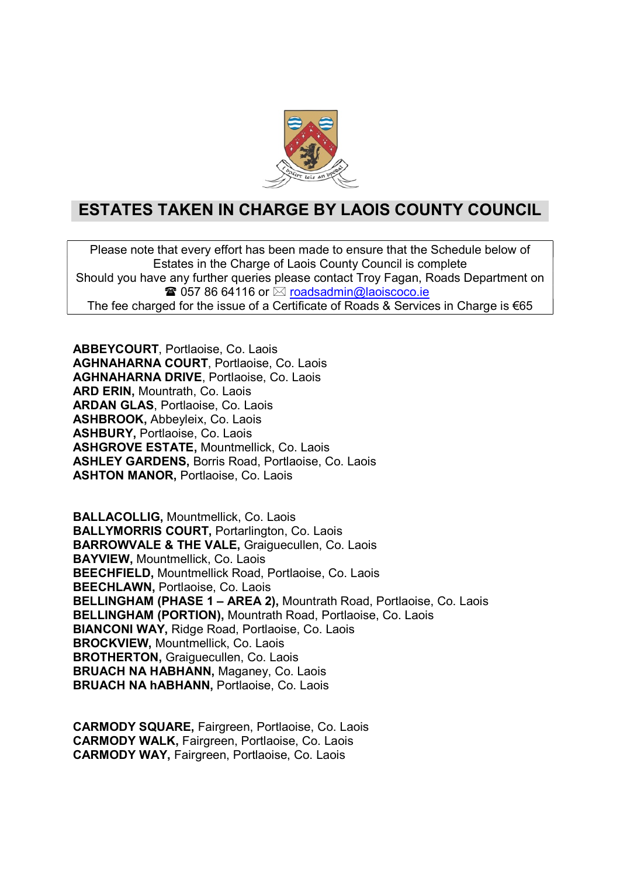

## ESTATES TAKEN IN CHARGE BY LAOIS COUNTY COUNCIL

Please note that every effort has been made to ensure that the Schedule below of Estates in the Charge of Laois County Council is complete Should you have any further queries please contact Troy Fagan, Roads Department on  $\mathbf{\widehat{a}}$  057 86 64116 or  $\boxtimes$  roadsadmin@laoiscoco.ie The fee charged for the issue of a Certificate of Roads & Services in Charge is  $\epsilon$ 65

ABBEYCOURT, Portlaoise, Co. Laois AGHNAHARNA COURT, Portlaoise, Co. Laois AGHNAHARNA DRIVE, Portlaoise, Co. Laois ARD ERIN, Mountrath, Co. Laois ARDAN GLAS, Portlaoise, Co. Laois ASHBROOK, Abbeyleix, Co. Laois ASHBURY, Portlaoise, Co. Laois ASHGROVE ESTATE, Mountmellick, Co. Laois ASHLEY GARDENS, Borris Road, Portlaoise, Co. Laois ASHTON MANOR, Portlaoise, Co. Laois

BALLACOLLIG, Mountmellick, Co. Laois BALLYMORRIS COURT, Portarlington, Co. Laois BARROWVALE & THE VALE, Graiguecullen, Co. Laois BAYVIEW, Mountmellick, Co. Laois BEECHFIELD, Mountmellick Road, Portlaoise, Co. Laois BEECHLAWN, Portlaoise, Co. Laois BELLINGHAM (PHASE 1 – AREA 2), Mountrath Road, Portlaoise, Co. Laois BELLINGHAM (PORTION), Mountrath Road, Portlaoise, Co. Laois BIANCONI WAY, Ridge Road, Portlaoise, Co. Laois BROCKVIEW, Mountmellick, Co. Laois BROTHERTON, Graiguecullen, Co. Laois BRUACH NA HABHANN, Maganey, Co. Laois BRUACH NA hABHANN, Portlaoise, Co. Laois

CARMODY SQUARE, Fairgreen, Portlaoise, Co. Laois CARMODY WALK, Fairgreen, Portlaoise, Co. Laois CARMODY WAY, Fairgreen, Portlaoise, Co. Laois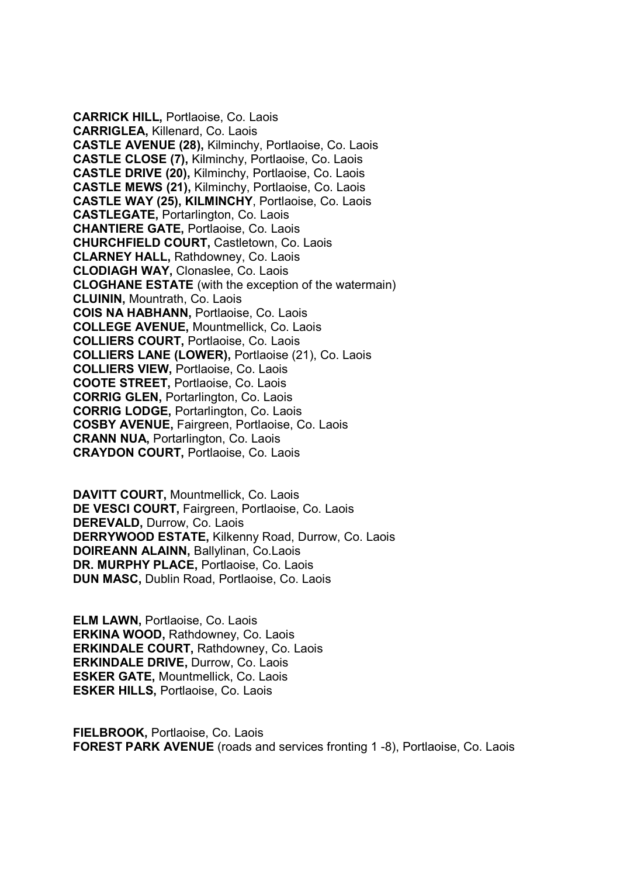CARRICK HILL, Portlaoise, Co. Laois CARRIGLEA, Killenard, Co. Laois CASTLE AVENUE (28), Kilminchy, Portlaoise, Co. Laois CASTLE CLOSE (7), Kilminchy, Portlaoise, Co. Laois CASTLE DRIVE (20), Kilminchy, Portlaoise, Co. Laois CASTLE MEWS (21), Kilminchy, Portlaoise, Co. Laois CASTLE WAY (25), KILMINCHY, Portlaoise, Co. Laois CASTLEGATE, Portarlington, Co. Laois CHANTIERE GATE, Portlaoise, Co. Laois CHURCHFIELD COURT, Castletown, Co. Laois CLARNEY HALL, Rathdowney, Co. Laois CLODIAGH WAY, Clonaslee, Co. Laois CLOGHANE ESTATE (with the exception of the watermain) CLUININ, Mountrath, Co. Laois COIS NA HABHANN, Portlaoise, Co. Laois COLLEGE AVENUE, Mountmellick, Co. Laois COLLIERS COURT, Portlaoise, Co. Laois COLLIERS LANE (LOWER), Portlaoise (21), Co. Laois COLLIERS VIEW, Portlaoise, Co. Laois COOTE STREET, Portlaoise, Co. Laois CORRIG GLEN, Portarlington, Co. Laois CORRIG LODGE, Portarlington, Co. Laois COSBY AVENUE, Fairgreen, Portlaoise, Co. Laois CRANN NUA, Portarlington, Co. Laois CRAYDON COURT, Portlaoise, Co. Laois

DAVITT COURT, Mountmellick, Co. Laois DE VESCI COURT, Fairgreen, Portlaoise, Co. Laois DEREVALD, Durrow, Co. Laois DERRYWOOD ESTATE, Kilkenny Road, Durrow, Co. Laois DOIREANN ALAINN, Ballylinan, Co.Laois DR. MURPHY PLACE, Portlaoise, Co. Laois DUN MASC, Dublin Road, Portlaoise, Co. Laois

ELM LAWN, Portlaoise, Co. Laois ERKINA WOOD, Rathdowney, Co. Laois ERKINDALE COURT, Rathdowney, Co. Laois ERKINDALE DRIVE, Durrow, Co. Laois ESKER GATE, Mountmellick, Co. Laois ESKER HILLS, Portlaoise, Co. Laois

FIELBROOK, Portlaoise, Co. Laois FOREST PARK AVENUE (roads and services fronting 1 -8), Portlaoise, Co. Laois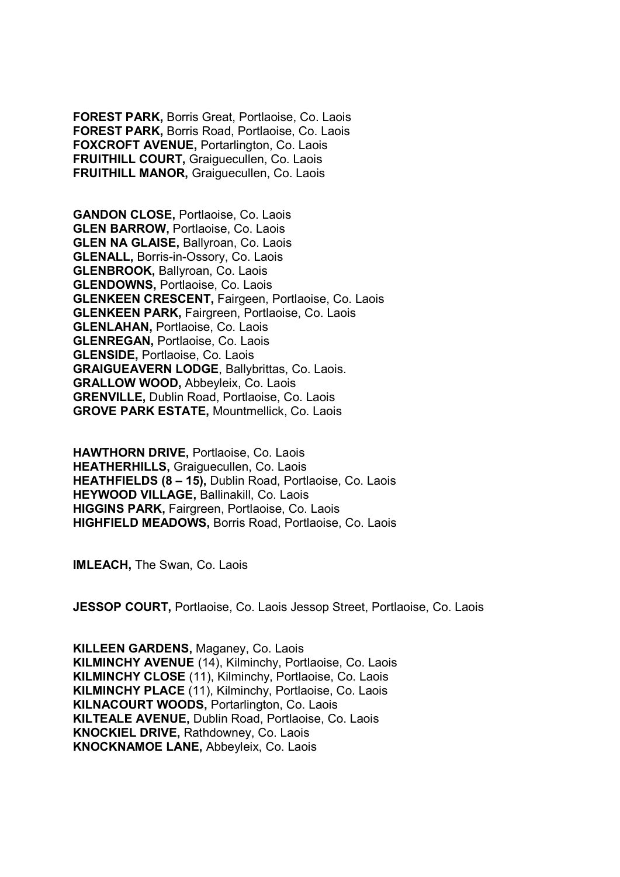FOREST PARK, Borris Great, Portlaoise, Co. Laois FOREST PARK, Borris Road, Portlaoise, Co. Laois FOXCROFT AVENUE, Portarlington, Co. Laois FRUITHILL COURT, Graiguecullen, Co. Laois FRUITHILL MANOR, Graiguecullen, Co. Laois

GANDON CLOSE, Portlaoise, Co. Laois GLEN BARROW, Portlaoise, Co. Laois GLEN NA GLAISE, Ballyroan, Co. Laois GLENALL, Borris-in-Ossory, Co. Laois GLENBROOK, Ballyroan, Co. Laois GLENDOWNS, Portlaoise, Co. Laois GLENKEEN CRESCENT, Fairgeen, Portlaoise, Co. Laois GLENKEEN PARK, Fairgreen, Portlaoise, Co. Laois GLENLAHAN, Portlaoise, Co. Laois GLENREGAN, Portlaoise, Co. Laois GLENSIDE, Portlaoise, Co. Laois GRAIGUEAVERN LODGE, Ballybrittas, Co. Laois. GRALLOW WOOD, Abbeyleix, Co. Laois GRENVILLE, Dublin Road, Portlaoise, Co. Laois GROVE PARK ESTATE, Mountmellick, Co. Laois

HAWTHORN DRIVE, Portlaoise, Co. Laois HEATHERHILLS, Graiguecullen, Co. Laois HEATHFIELDS (8 – 15), Dublin Road, Portlaoise, Co. Laois HEYWOOD VILLAGE, Ballinakill, Co. Laois HIGGINS PARK, Fairgreen, Portlaoise, Co. Laois HIGHFIELD MEADOWS, Borris Road, Portlaoise, Co. Laois

IMLEACH, The Swan, Co. Laois

JESSOP COURT, Portlaoise, Co. Laois Jessop Street, Portlaoise, Co. Laois

KILLEEN GARDENS, Maganey, Co. Laois KILMINCHY AVENUE (14), Kilminchy, Portlaoise, Co. Laois KILMINCHY CLOSE (11), Kilminchy, Portlaoise, Co. Laois KILMINCHY PLACE (11), Kilminchy, Portlaoise, Co. Laois KILNACOURT WOODS, Portarlington, Co. Laois KILTEALE AVENUE, Dublin Road, Portlaoise, Co. Laois KNOCKIEL DRIVE, Rathdowney, Co. Laois KNOCKNAMOE LANE, Abbeyleix, Co. Laois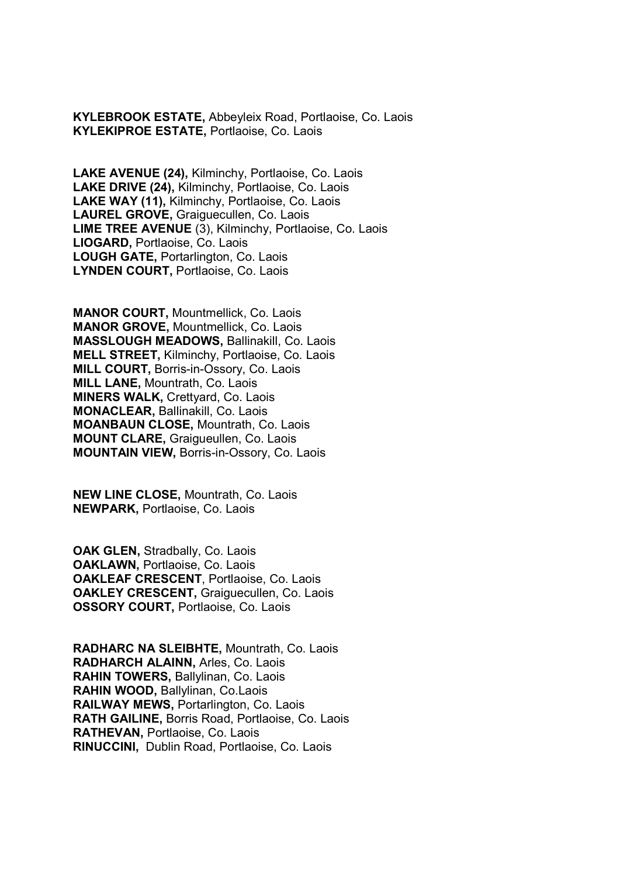KYLEBROOK ESTATE, Abbeyleix Road, Portlaoise, Co. Laois KYLEKIPROE ESTATE, Portlaoise, Co. Laois

LAKE AVENUE (24), Kilminchy, Portlaoise, Co. Laois LAKE DRIVE (24), Kilminchy, Portlaoise, Co. Laois LAKE WAY (11), Kilminchy, Portlaoise, Co. Laois LAUREL GROVE, Graiguecullen, Co. Laois LIME TREE AVENUE (3), Kilminchy, Portlaoise, Co. Laois LIOGARD, Portlaoise, Co. Laois LOUGH GATE, Portarlington, Co. Laois LYNDEN COURT, Portlaoise, Co. Laois

MANOR COURT, Mountmellick, Co. Laois MANOR GROVE, Mountmellick, Co. Laois MASSLOUGH MEADOWS, Ballinakill, Co. Laois MELL STREET, Kilminchy, Portlaoise, Co. Laois MILL COURT, Borris-in-Ossory, Co. Laois MILL LANE, Mountrath, Co. Laois MINERS WALK, Crettyard, Co. Laois MONACLEAR, Ballinakill, Co. Laois MOANBAUN CLOSE, Mountrath, Co. Laois MOUNT CLARE, Graigueullen, Co. Laois MOUNTAIN VIEW, Borris-in-Ossory, Co. Laois

NEW LINE CLOSE, Mountrath, Co. Laois NEWPARK, Portlaoise, Co. Laois

OAK GLEN, Stradbally, Co. Laois OAKLAWN, Portlaoise, Co. Laois OAKLEAF CRESCENT, Portlaoise, Co. Laois OAKLEY CRESCENT, Graiguecullen, Co. Laois OSSORY COURT, Portlaoise, Co. Laois

RADHARC NA SLEIBHTE, Mountrath, Co. Laois RADHARCH ALAINN, Arles, Co. Laois RAHIN TOWERS, Ballylinan, Co. Laois RAHIN WOOD, Ballylinan, Co.Laois RAILWAY MEWS, Portarlington, Co. Laois RATH GAILINE, Borris Road, Portlaoise, Co. Laois RATHEVAN, Portlaoise, Co. Laois RINUCCINI, Dublin Road, Portlaoise, Co. Laois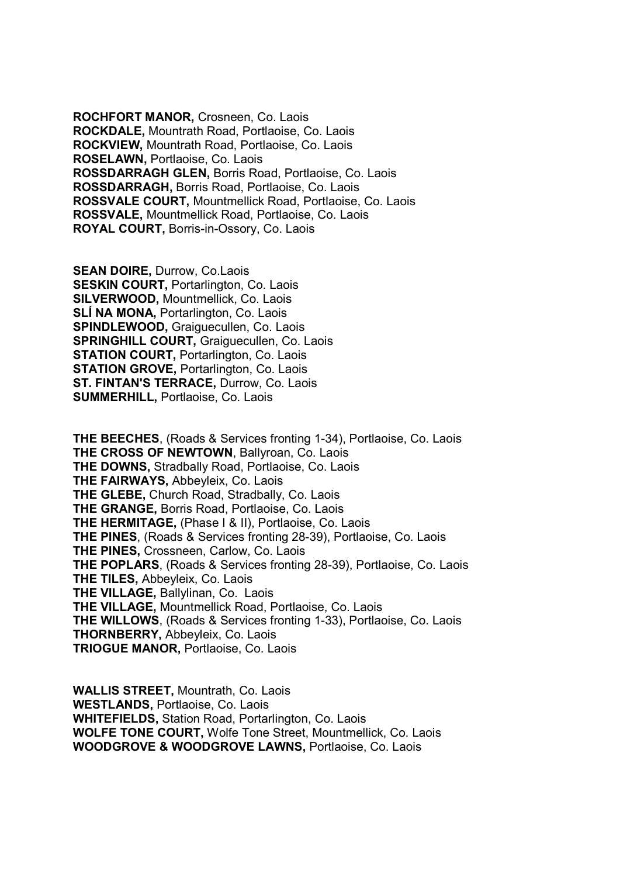ROCHFORT MANOR, Crosneen, Co. Laois ROCKDALE, Mountrath Road, Portlaoise, Co. Laois ROCKVIEW, Mountrath Road, Portlaoise, Co. Laois ROSELAWN, Portlaoise, Co. Laois ROSSDARRAGH GLEN, Borris Road, Portlaoise, Co. Laois ROSSDARRAGH, Borris Road, Portlaoise, Co. Laois ROSSVALE COURT, Mountmellick Road, Portlaoise, Co. Laois ROSSVALE, Mountmellick Road, Portlaoise, Co. Laois ROYAL COURT, Borris-in-Ossory, Co. Laois

SEAN DOIRE, Durrow, Co.Laois **SESKIN COURT, Portarlington, Co. Laois** SILVERWOOD, Mountmellick, Co. Laois SLÍ NA MONA, Portarlington, Co. Laois SPINDLEWOOD, Graiguecullen, Co. Laois SPRINGHILL COURT, Graiguecullen, Co. Laois **STATION COURT, Portarlington, Co. Laois** STATION GROVE, Portarlington, Co. Laois ST. FINTAN'S TERRACE, Durrow, Co. Laois SUMMERHILL, Portlaoise, Co. Laois

THE BEECHES, (Roads & Services fronting 1-34), Portlaoise, Co. Laois THE CROSS OF NEWTOWN, Ballyroan, Co. Laois THE DOWNS, Stradbally Road, Portlaoise, Co. Laois THE FAIRWAYS, Abbeyleix, Co. Laois THE GLEBE, Church Road, Stradbally, Co. Laois THE GRANGE, Borris Road, Portlaoise, Co. Laois THE HERMITAGE, (Phase I & II), Portlaoise, Co. Laois THE PINES, (Roads & Services fronting 28-39), Portlaoise, Co. Laois THE PINES, Crossneen, Carlow, Co. Laois THE POPLARS, (Roads & Services fronting 28-39), Portlaoise, Co. Laois THE TILES, Abbeyleix, Co. Laois THE VILLAGE, Ballylinan, Co. Laois THE VILLAGE, Mountmellick Road, Portlaoise, Co. Laois THE WILLOWS, (Roads & Services fronting 1-33), Portlaoise, Co. Laois THORNBERRY, Abbeyleix, Co. Laois TRIOGUE MANOR, Portlaoise, Co. Laois

WALLIS STREET, Mountrath, Co. Laois WESTLANDS, Portlaoise, Co. Laois WHITEFIELDS, Station Road, Portarlington, Co. Laois WOLFE TONE COURT, Wolfe Tone Street, Mountmellick, Co. Laois WOODGROVE & WOODGROVE LAWNS, Portlaoise, Co. Laois